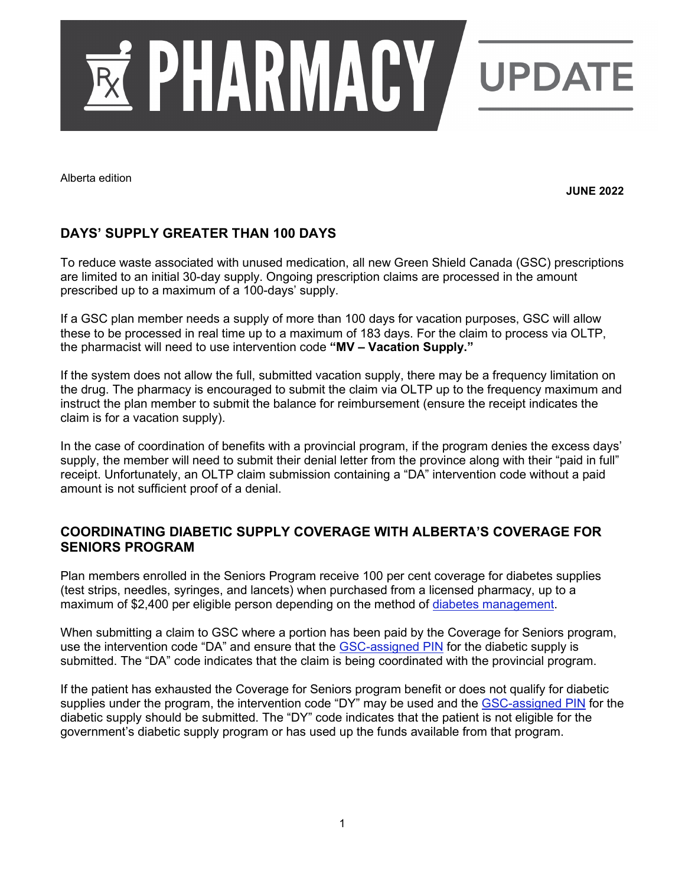

Alberta edition

**JUNE 2022**

## **DAYS' SUPPLY GREATER THAN 100 DAYS**

To reduce waste associated with unused medication, all new Green Shield Canada (GSC) prescriptions are limited to an initial 30-day supply. Ongoing prescription claims are processed in the amount prescribed up to a maximum of a 100-days' supply.

If a GSC plan member needs a supply of more than 100 days for vacation purposes, GSC will allow these to be processed in real time up to a maximum of 183 days. For the claim to process via OLTP, the pharmacist will need to use intervention code **"MV – Vacation Supply."**

If the system does not allow the full, submitted vacation supply, there may be a frequency limitation on the drug. The pharmacy is encouraged to submit the claim via OLTP up to the frequency maximum and instruct the plan member to submit the balance for reimbursement (ensure the receipt indicates the claim is for a vacation supply).

In the case of coordination of benefits with a provincial program, if the program denies the excess days' supply, the member will need to submit their denial letter from the province along with their "paid in full" receipt. Unfortunately, an OLTP claim submission containing a "DA" intervention code without a paid amount is not sufficient proof of a denial.

## **COORDINATING DIABETIC SUPPLY COVERAGE WITH ALBERTA'S COVERAGE FOR SENIORS PROGRAM**

Plan members enrolled in the Seniors Program receive 100 per cent coverage for diabetes supplies (test strips, needles, syringes, and lancets) when purchased from a licensed pharmacy, up to a maximum of \$2,400 per eligible person depending on the method of [diabetes management.](https://www.alberta.ca/assets/documents/health-coverage-maximums-for-diabetes-supplies.pdf)

When submitting a claim to GSC where a portion has been paid by the Coverage for Seniors program, use the intervention code "DA" and ensure that the [GSC-assigned PIN](https://www.providerconnect.ca/AdminContent/ViewPharmacyManual.aspx?ppmid=aae00501-9545-44a0-8ab4-6c42ae03174f) for the diabetic supply is submitted. The "DA" code indicates that the claim is being coordinated with the provincial program.

If the patient has exhausted the Coverage for Seniors program benefit or does not qualify for diabetic supplies under the program, the intervention code "DY" may be used and the [GSC-assigned PIN](https://www.providerconnect.ca/AdminContent/ViewPharmacyManual.aspx?ppmid=aae00501-9545-44a0-8ab4-6c42ae03174f) for the diabetic supply should be submitted. The "DY" code indicates that the patient is not eligible for the government's diabetic supply program or has used up the funds available from that program.